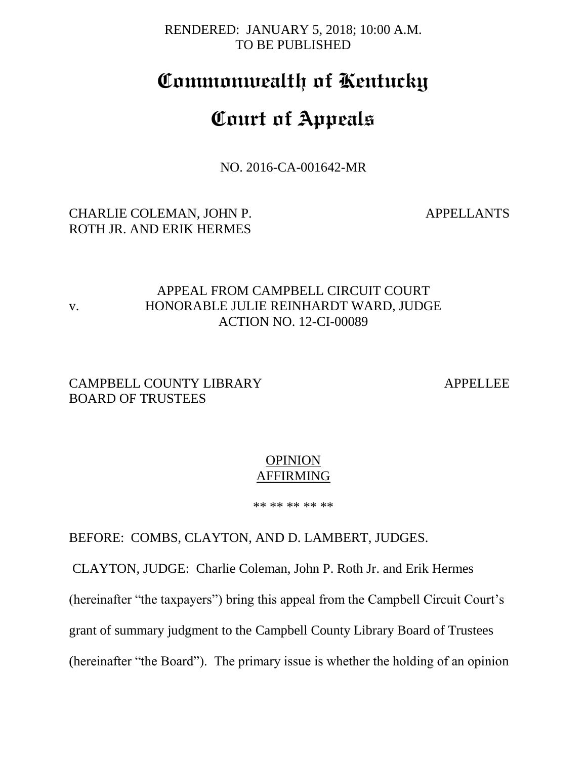RENDERED: JANUARY 5, 2018; 10:00 A.M. TO BE PUBLISHED

# **Commonwealth of Kentucky**

# **Court of Appeals**

NO. 2016-CA-001642-MR

## CHARLIE COLEMAN, JOHN P. APPELLANTS ROTH JR. AND ERIK HERMES

## APPEAL FROM CAMPBELL CIRCUIT COURT v. HONORABLE JULIE REINHARDT WARD, JUDGE ACTION NO. 12-CI-00089

## CAMPBELL COUNTY LIBRARY APPELLEE BOARD OF TRUSTEES

#### **OPINION** AFFIRMING

\*\* \*\* \*\* \*\* \*\*

BEFORE: COMBS, CLAYTON, AND D. LAMBERT, JUDGES.

CLAYTON, JUDGE: Charlie Coleman, John P. Roth Jr. and Erik Hermes

(hereinafter "the taxpayers") bring this appeal from the Campbell Circuit Court's

grant of summary judgment to the Campbell County Library Board of Trustees

(hereinafter "the Board"). The primary issue is whether the holding of an opinion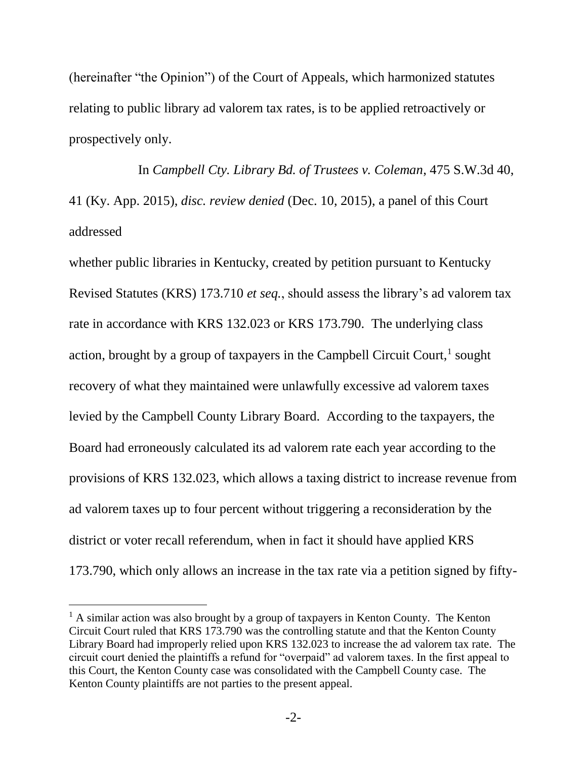(hereinafter "the Opinion") of the Court of Appeals, which harmonized statutes relating to public library ad valorem tax rates, is to be applied retroactively or prospectively only.

In *Campbell Cty. Library Bd. of Trustees v. Coleman*, 475 S.W.3d 40, 41 (Ky. App. 2015), *disc. review denied* (Dec. 10, 2015), a panel of this Court addressed

whether public libraries in Kentucky, created by petition pursuant to Kentucky Revised Statutes (KRS) 173.710 *et seq.*, should assess the library's ad valorem tax rate in accordance with KRS 132.023 or KRS 173.790. The underlying class action, brought by a group of taxpayers in the Campbell Circuit Court, $<sup>1</sup>$  sought</sup> recovery of what they maintained were unlawfully excessive ad valorem taxes levied by the Campbell County Library Board. According to the taxpayers, the Board had erroneously calculated its ad valorem rate each year according to the provisions of KRS 132.023, which allows a taxing district to increase revenue from ad valorem taxes up to four percent without triggering a reconsideration by the district or voter recall referendum, when in fact it should have applied KRS 173.790, which only allows an increase in the tax rate via a petition signed by fifty-

 $\overline{a}$ 

 $<sup>1</sup>$  A similar action was also brought by a group of taxpayers in Kenton County. The Kenton</sup> Circuit Court ruled that KRS 173.790 was the controlling statute and that the Kenton County Library Board had improperly relied upon KRS 132.023 to increase the ad valorem tax rate. The circuit court denied the plaintiffs a refund for "overpaid" ad valorem taxes. In the first appeal to this Court, the Kenton County case was consolidated with the Campbell County case. The Kenton County plaintiffs are not parties to the present appeal.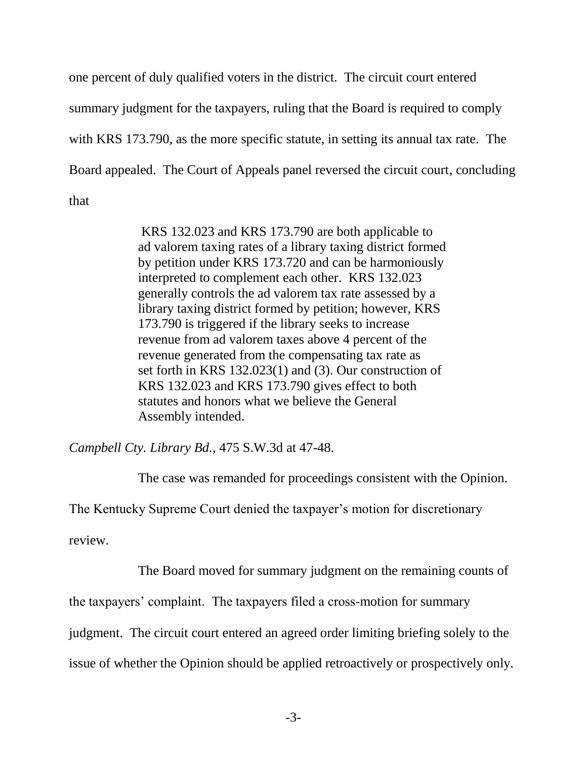one percent of duly qualified voters in the district. The circuit court entered summary judgment for the taxpayers, ruling that the Board is required to comply with KRS 173.790, as the more specific statute, in setting its annual tax rate. The Board appealed. The Court of Appeals panel reversed the circuit court, concluding that

> KRS 132.023 and KRS 173.790 are both applicable to ad valorem taxing rates of a library taxing district formed by petition under KRS 173.720 and can be harmoniously interpreted to complement each other. KRS 132.023 generally controls the ad valorem tax rate assessed by a library taxing district formed by petition; however, KRS 173.790 is triggered if the library seeks to increase revenue from ad valorem taxes above 4 percent of the revenue generated from the compensating tax rate as set forth in KRS 132.023(1) and (3). Our construction of KRS 132.023 and KRS 173.790 gives effect to both statutes and honors what we believe the General Assembly intended.

*Campbell Cty. Library Bd.*, 475 S.W.3d at 47-48.

The case was remanded for proceedings consistent with the Opinion.

The Kentucky Supreme Court denied the taxpayer's motion for discretionary

review.

The Board moved for summary judgment on the remaining counts of

the taxpayers' complaint. The taxpayers filed a cross-motion for summary

judgment. The circuit court entered an agreed order limiting briefing solely to the

issue of whether the Opinion should be applied retroactively or prospectively only.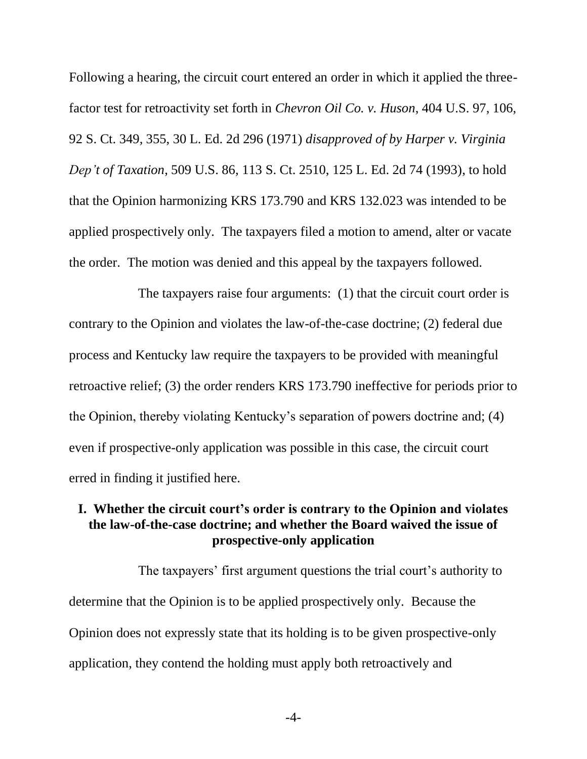Following a hearing, the circuit court entered an order in which it applied the threefactor test for retroactivity set forth in *Chevron Oil Co. v. Huson*, 404 U.S. 97, 106, 92 S. Ct. 349, 355, 30 L. Ed. 2d 296 (1971) *disapproved of by Harper v. Virginia Dep't of Taxation*, 509 U.S. 86, 113 S. Ct. 2510, 125 L. Ed. 2d 74 (1993), to hold that the Opinion harmonizing KRS 173.790 and KRS 132.023 was intended to be applied prospectively only. The taxpayers filed a motion to amend, alter or vacate the order. The motion was denied and this appeal by the taxpayers followed.

The taxpayers raise four arguments: (1) that the circuit court order is contrary to the Opinion and violates the law-of-the-case doctrine; (2) federal due process and Kentucky law require the taxpayers to be provided with meaningful retroactive relief; (3) the order renders KRS 173.790 ineffective for periods prior to the Opinion, thereby violating Kentucky's separation of powers doctrine and; (4) even if prospective-only application was possible in this case, the circuit court erred in finding it justified here.

### **I. Whether the circuit court's order is contrary to the Opinion and violates the law-of-the-case doctrine; and whether the Board waived the issue of prospective-only application**

The taxpayers' first argument questions the trial court's authority to determine that the Opinion is to be applied prospectively only. Because the Opinion does not expressly state that its holding is to be given prospective-only application, they contend the holding must apply both retroactively and

-4-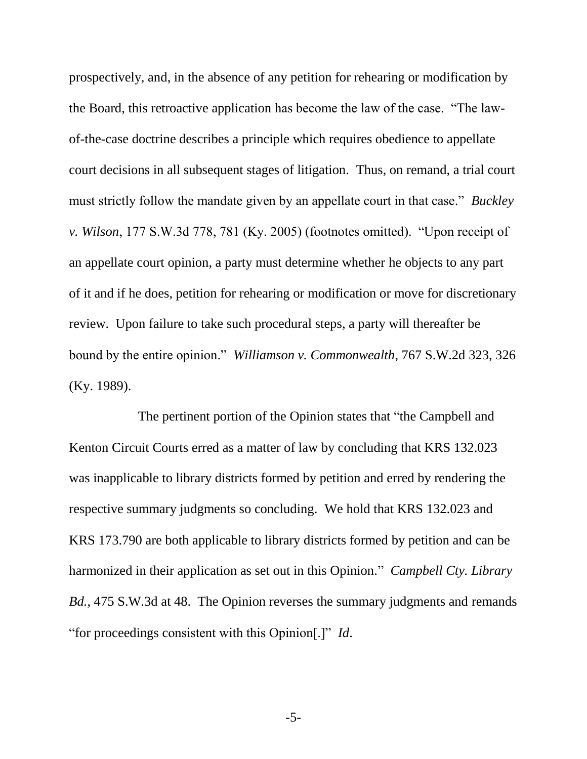prospectively, and, in the absence of any petition for rehearing or modification by the Board, this retroactive application has become the law of the case. "The lawof-the-case doctrine describes a principle which requires obedience to appellate court decisions in all subsequent stages of litigation. Thus, on remand, a trial court must strictly follow the mandate given by an appellate court in that case." *Buckley v. Wilson*, 177 S.W.3d 778, 781 (Ky. 2005) (footnotes omitted). "Upon receipt of an appellate court opinion, a party must determine whether he objects to any part of it and if he does, petition for rehearing or modification or move for discretionary review. Upon failure to take such procedural steps, a party will thereafter be bound by the entire opinion." *Williamson v. Commonwealth*, 767 S.W.2d 323, 326 (Ky. 1989).

The pertinent portion of the Opinion states that "the Campbell and Kenton Circuit Courts erred as a matter of law by concluding that KRS 132.023 was inapplicable to library districts formed by petition and erred by rendering the respective summary judgments so concluding. We hold that KRS 132.023 and KRS 173.790 are both applicable to library districts formed by petition and can be harmonized in their application as set out in this Opinion." *Campbell Cty. Library Bd.*, 475 S.W.3d at 48. The Opinion reverses the summary judgments and remands "for proceedings consistent with this Opinion[.]" *Id*.

-5-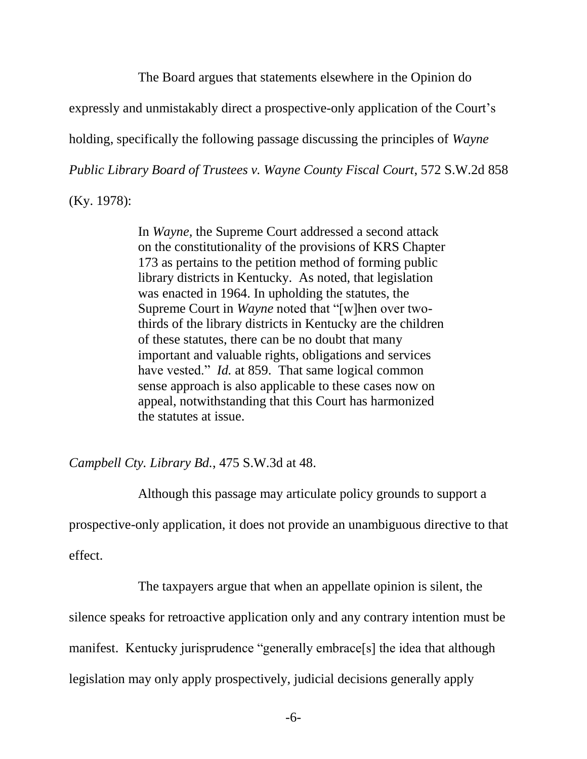The Board argues that statements elsewhere in the Opinion do

expressly and unmistakably direct a prospective-only application of the Court's

holding, specifically the following passage discussing the principles of *Wayne* 

*Public Library Board of Trustees v. Wayne County Fiscal Court*, 572 S.W.2d 858

(Ky. 1978):

In *Wayne,* the Supreme Court addressed a second attack on the constitutionality of the provisions of KRS Chapter 173 as pertains to the petition method of forming public library districts in Kentucky. As noted, that legislation was enacted in 1964. In upholding the statutes, the Supreme Court in *Wayne* noted that "[w]hen over twothirds of the library districts in Kentucky are the children of these statutes, there can be no doubt that many important and valuable rights, obligations and services have vested." *Id.* at 859. That same logical common sense approach is also applicable to these cases now on appeal, notwithstanding that this Court has harmonized the statutes at issue.

*Campbell Cty. Library Bd.*, 475 S.W.3d at 48.

Although this passage may articulate policy grounds to support a

prospective-only application, it does not provide an unambiguous directive to that

effect.

The taxpayers argue that when an appellate opinion is silent, the

silence speaks for retroactive application only and any contrary intention must be

manifest. Kentucky jurisprudence "generally embrace[s] the idea that although

legislation may only apply prospectively, judicial decisions generally apply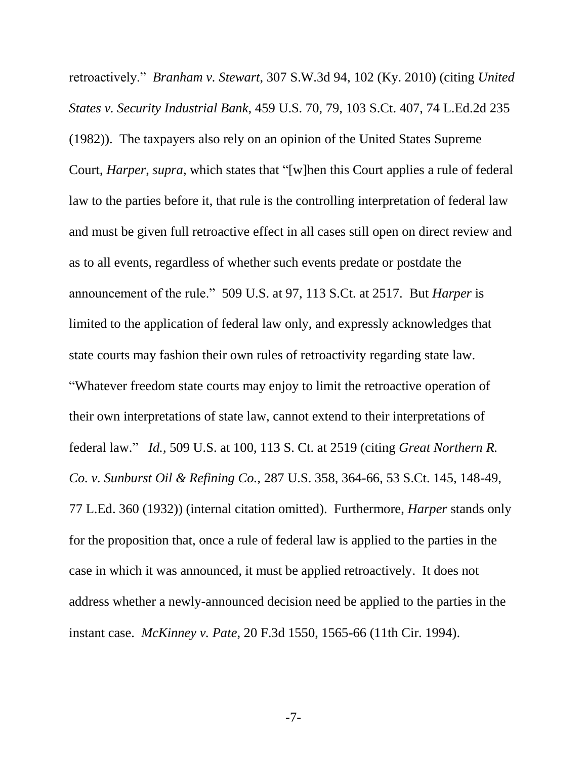retroactively." *Branham v. Stewart*, 307 S.W.3d 94, 102 (Ky. 2010) (citing *United States v. Security Industrial Bank,* 459 U.S. 70, 79, 103 S.Ct. 407, 74 L.Ed.2d 235 (1982)). The taxpayers also rely on an opinion of the United States Supreme Court, *Harper*, *supra*, which states that "[w]hen this Court applies a rule of federal law to the parties before it, that rule is the controlling interpretation of federal law and must be given full retroactive effect in all cases still open on direct review and as to all events, regardless of whether such events predate or postdate the announcement of the rule." 509 U.S. at 97, 113 S.Ct. at 2517. But *Harper* is limited to the application of federal law only, and expressly acknowledges that state courts may fashion their own rules of retroactivity regarding state law. "Whatever freedom state courts may enjoy to limit the retroactive operation of their own interpretations of state law, cannot extend to their interpretations of federal law." *Id.*, 509 U.S. at 100, 113 S. Ct. at 2519 (citing *Great Northern R. Co. v. Sunburst Oil & Refining Co.,* 287 U.S. 358, 364-66, 53 S.Ct. 145, 148-49, 77 L.Ed. 360 (1932)) (internal citation omitted). Furthermore, *Harper* stands only for the proposition that, once a rule of federal law is applied to the parties in the case in which it was announced, it must be applied retroactively. It does not address whether a newly-announced decision need be applied to the parties in the instant case. *McKinney v. Pate*, 20 F.3d 1550, 1565-66 (11th Cir. 1994).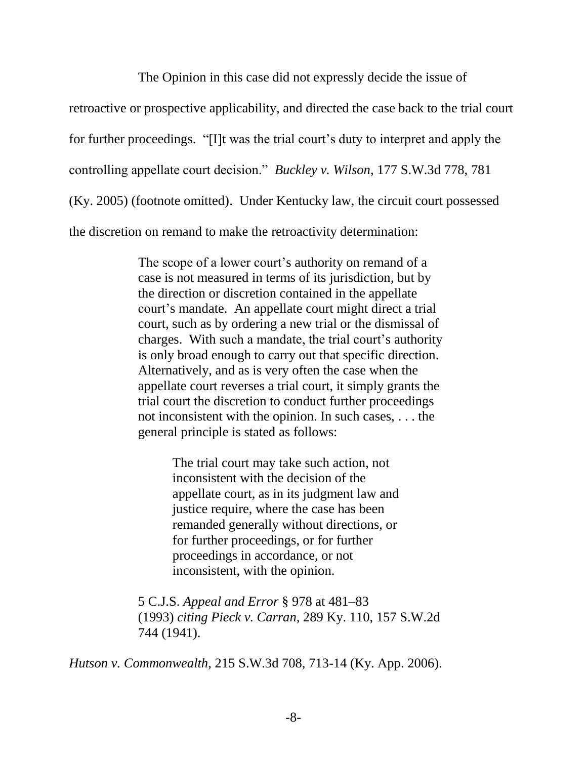The Opinion in this case did not expressly decide the issue of

retroactive or prospective applicability, and directed the case back to the trial court

for further proceedings. "[I]t was the trial court's duty to interpret and apply the

controlling appellate court decision." *Buckley v. Wilson*, 177 S.W.3d 778, 781

(Ky. 2005) (footnote omitted). Under Kentucky law, the circuit court possessed

the discretion on remand to make the retroactivity determination:

The scope of a lower court's authority on remand of a case is not measured in terms of its jurisdiction, but by the direction or discretion contained in the appellate court's mandate. An appellate court might direct a trial court, such as by ordering a new trial or the dismissal of charges. With such a mandate, the trial court's authority is only broad enough to carry out that specific direction. Alternatively, and as is very often the case when the appellate court reverses a trial court, it simply grants the trial court the discretion to conduct further proceedings not inconsistent with the opinion. In such cases, . . . the general principle is stated as follows:

> The trial court may take such action, not inconsistent with the decision of the appellate court, as in its judgment law and justice require, where the case has been remanded generally without directions, or for further proceedings, or for further proceedings in accordance, or not inconsistent, with the opinion.

5 C.J.S. *Appeal and Error* § 978 at 481–83 (1993) *citing Pieck v. Carran,* 289 Ky. 110, 157 S.W.2d 744 (1941).

*Hutson v. Commonwealth*, 215 S.W.3d 708, 713-14 (Ky. App. 2006).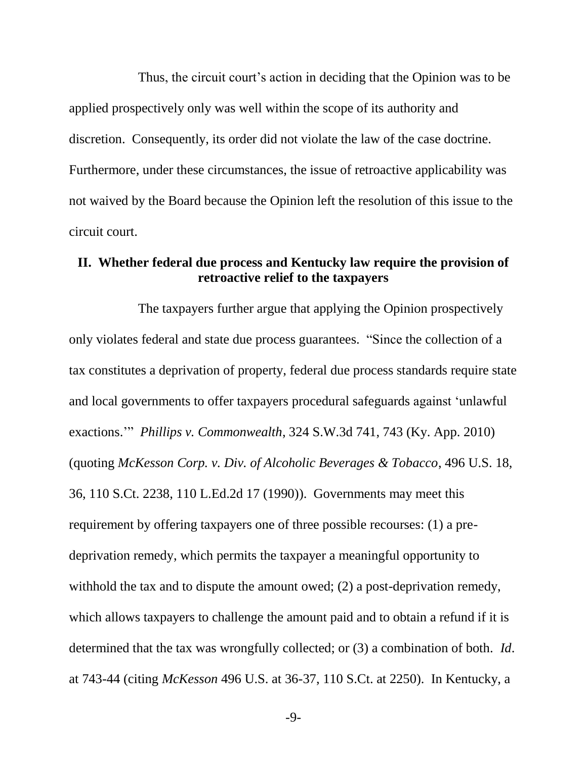Thus, the circuit court's action in deciding that the Opinion was to be applied prospectively only was well within the scope of its authority and discretion. Consequently, its order did not violate the law of the case doctrine. Furthermore, under these circumstances, the issue of retroactive applicability was not waived by the Board because the Opinion left the resolution of this issue to the circuit court.

## **II. Whether federal due process and Kentucky law require the provision of retroactive relief to the taxpayers**

The taxpayers further argue that applying the Opinion prospectively only violates federal and state due process guarantees. "Since the collection of a tax constitutes a deprivation of property, federal due process standards require state and local governments to offer taxpayers procedural safeguards against 'unlawful exactions.'" *Phillips v. Commonwealth*, 324 S.W.3d 741, 743 (Ky. App. 2010) (quoting *McKesson Corp. v. Div. of Alcoholic Beverages & Tobacco*, 496 U.S. 18, 36, 110 S.Ct. 2238, 110 L.Ed.2d 17 (1990)). Governments may meet this requirement by offering taxpayers one of three possible recourses: (1) a predeprivation remedy, which permits the taxpayer a meaningful opportunity to withhold the tax and to dispute the amount owed; (2) a post-deprivation remedy, which allows taxpayers to challenge the amount paid and to obtain a refund if it is determined that the tax was wrongfully collected; or (3) a combination of both. *Id*. at 743-44 (citing *McKesson* 496 U.S. at 36-37, 110 S.Ct. at 2250). In Kentucky, a

-9-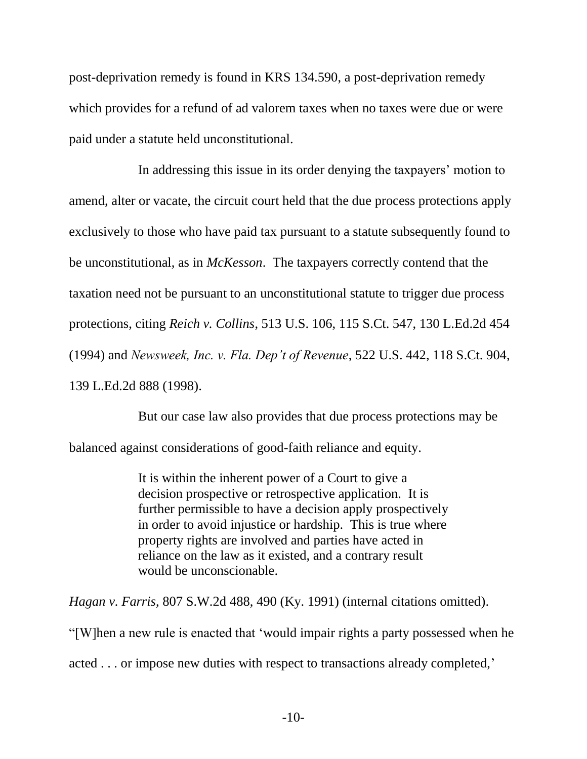post-deprivation remedy is found in KRS 134.590, a post-deprivation remedy which provides for a refund of ad valorem taxes when no taxes were due or were paid under a statute held unconstitutional.

In addressing this issue in its order denying the taxpayers' motion to amend, alter or vacate, the circuit court held that the due process protections apply exclusively to those who have paid tax pursuant to a statute subsequently found to be unconstitutional, as in *McKesson*. The taxpayers correctly contend that the taxation need not be pursuant to an unconstitutional statute to trigger due process protections, citing *Reich v. Collins*, 513 U.S. 106, 115 S.Ct. 547, 130 L.Ed.2d 454 (1994) and *Newsweek, Inc. v. Fla. Dep't of Revenue*, 522 U.S. 442, 118 S.Ct. 904, 139 L.Ed.2d 888 (1998).

But our case law also provides that due process protections may be balanced against considerations of good-faith reliance and equity.

> It is within the inherent power of a Court to give a decision prospective or retrospective application. It is further permissible to have a decision apply prospectively in order to avoid injustice or hardship. This is true where property rights are involved and parties have acted in reliance on the law as it existed, and a contrary result would be unconscionable.

*Hagan v. Farris*, 807 S.W.2d 488, 490 (Ky. 1991) (internal citations omitted).

"[W]hen a new rule is enacted that 'would impair rights a party possessed when he

acted . . . or impose new duties with respect to transactions already completed,'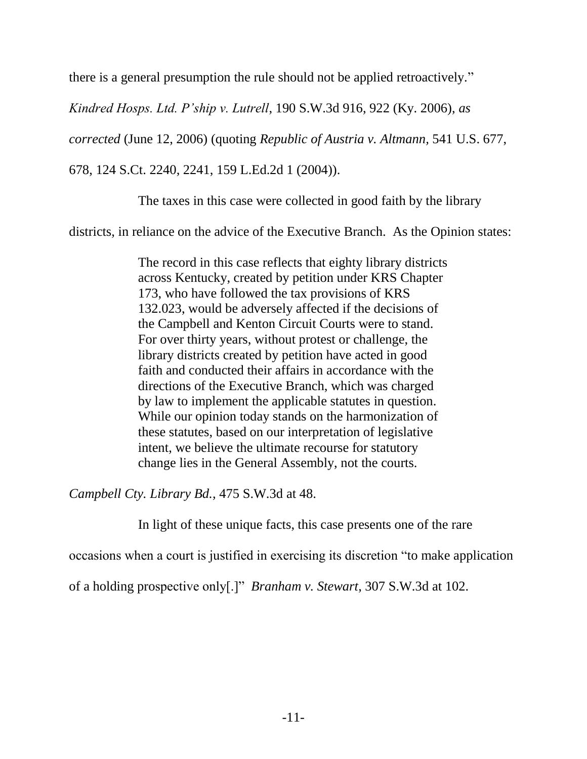there is a general presumption the rule should not be applied retroactively."

*Kindred Hosps. Ltd. P'ship v. Lutrell*, 190 S.W.3d 916, 922 (Ky. 2006), *as* 

*corrected* (June 12, 2006) (quoting *Republic of Austria v. Altmann,* 541 U.S. 677,

678, 124 S.Ct. 2240, 2241, 159 L.Ed.2d 1 (2004)).

The taxes in this case were collected in good faith by the library

districts, in reliance on the advice of the Executive Branch. As the Opinion states:

The record in this case reflects that eighty library districts across Kentucky, created by petition under KRS Chapter 173, who have followed the tax provisions of KRS 132.023, would be adversely affected if the decisions of the Campbell and Kenton Circuit Courts were to stand. For over thirty years, without protest or challenge, the library districts created by petition have acted in good faith and conducted their affairs in accordance with the directions of the Executive Branch, which was charged by law to implement the applicable statutes in question. While our opinion today stands on the harmonization of these statutes, based on our interpretation of legislative intent, we believe the ultimate recourse for statutory change lies in the General Assembly, not the courts.

*Campbell Cty. Library Bd.*, 475 S.W.3d at 48.

In light of these unique facts, this case presents one of the rare

occasions when a court is justified in exercising its discretion "to make application

of a holding prospective only[.]" *Branham v. Stewart*, 307 S.W.3d at 102.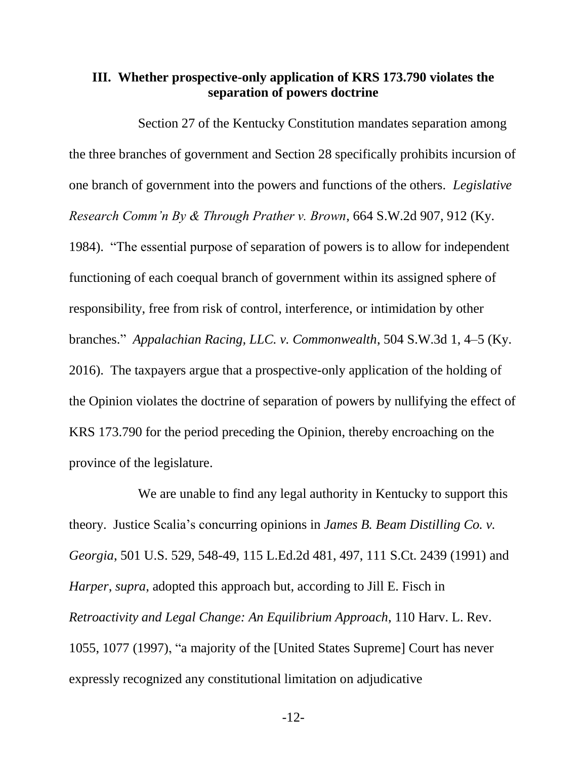## **III. Whether prospective-only application of KRS 173.790 violates the separation of powers doctrine**

Section 27 of the Kentucky Constitution mandates separation among the three branches of government and Section 28 specifically prohibits incursion of one branch of government into the powers and functions of the others. *Legislative Research Comm'n By & Through Prather v. Brown*, 664 S.W.2d 907, 912 (Ky. 1984). "The essential purpose of separation of powers is to allow for independent functioning of each coequal branch of government within its assigned sphere of responsibility, free from risk of control, interference, or intimidation by other branches." *Appalachian Racing, LLC. v. Commonwealth*, 504 S.W.3d 1, 4–5 (Ky. 2016). The taxpayers argue that a prospective-only application of the holding of the Opinion violates the doctrine of separation of powers by nullifying the effect of KRS 173.790 for the period preceding the Opinion, thereby encroaching on the province of the legislature.

We are unable to find any legal authority in Kentucky to support this theory. Justice Scalia's concurring opinions in *James B. Beam Distilling Co. v. Georgia*, 501 U.S. 529, 548-49, 115 L.Ed.2d 481, 497, 111 S.Ct. 2439 (1991) and *Harper*, *supra*, adopted this approach but, according to Jill E. Fisch in *Retroactivity and Legal Change: An Equilibrium Approach*, 110 Harv. L. Rev. 1055, 1077 (1997), "a majority of the [United States Supreme] Court has never expressly recognized any constitutional limitation on adjudicative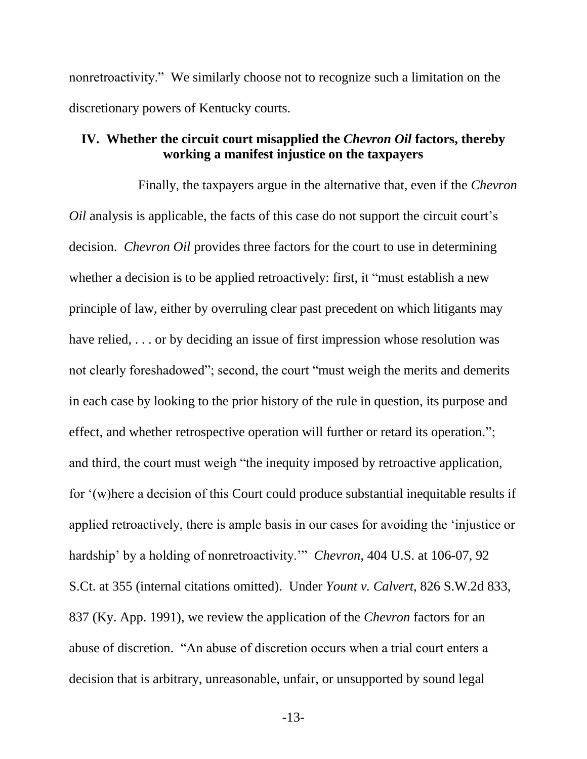nonretroactivity." We similarly choose not to recognize such a limitation on the discretionary powers of Kentucky courts.

### **IV. Whether the circuit court misapplied the** *Chevron Oil* **factors, thereby working a manifest injustice on the taxpayers**

Finally, the taxpayers argue in the alternative that, even if the *Chevron Oil* analysis is applicable, the facts of this case do not support the circuit court's decision. *Chevron Oil* provides three factors for the court to use in determining whether a decision is to be applied retroactively: first, it "must establish a new principle of law, either by overruling clear past precedent on which litigants may have relied, ... or by deciding an issue of first impression whose resolution was not clearly foreshadowed"; second, the court "must weigh the merits and demerits in each case by looking to the prior history of the rule in question, its purpose and effect, and whether retrospective operation will further or retard its operation."; and third, the court must weigh "the inequity imposed by retroactive application, for '(w)here a decision of this Court could produce substantial inequitable results if applied retroactively, there is ample basis in our cases for avoiding the 'injustice or hardship' by a holding of nonretroactivity.'" *Chevron*, 404 U.S. at 106-07, 92 S.Ct. at 355 (internal citations omitted). Under *Yount v. Calvert*, 826 S.W.2d 833, 837 (Ky. App. 1991), we review the application of the *Chevron* factors for an abuse of discretion. "An abuse of discretion occurs when a trial court enters a decision that is arbitrary, unreasonable, unfair, or unsupported by sound legal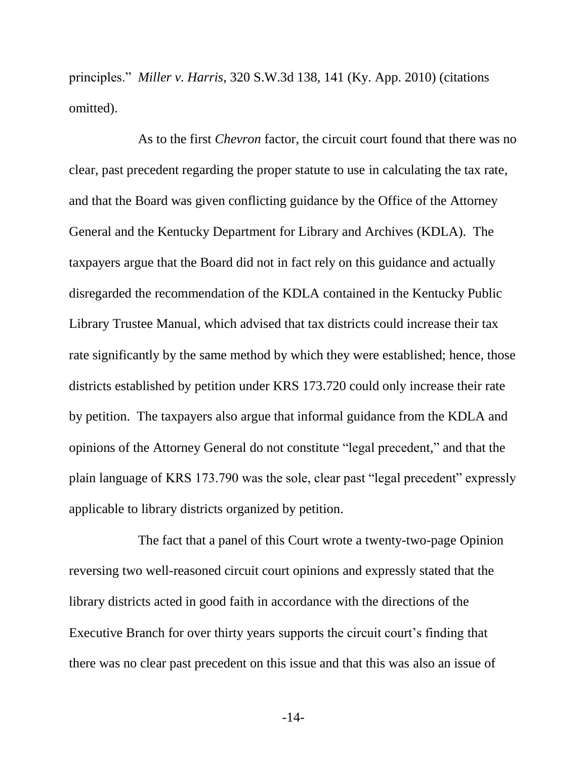principles." *Miller v. Harris*, 320 S.W.3d 138, 141 (Ky. App. 2010) (citations omitted).

As to the first *Chevron* factor, the circuit court found that there was no clear, past precedent regarding the proper statute to use in calculating the tax rate, and that the Board was given conflicting guidance by the Office of the Attorney General and the Kentucky Department for Library and Archives (KDLA). The taxpayers argue that the Board did not in fact rely on this guidance and actually disregarded the recommendation of the KDLA contained in the Kentucky Public Library Trustee Manual, which advised that tax districts could increase their tax rate significantly by the same method by which they were established; hence, those districts established by petition under KRS 173.720 could only increase their rate by petition. The taxpayers also argue that informal guidance from the KDLA and opinions of the Attorney General do not constitute "legal precedent," and that the plain language of KRS 173.790 was the sole, clear past "legal precedent" expressly applicable to library districts organized by petition.

The fact that a panel of this Court wrote a twenty-two-page Opinion reversing two well-reasoned circuit court opinions and expressly stated that the library districts acted in good faith in accordance with the directions of the Executive Branch for over thirty years supports the circuit court's finding that there was no clear past precedent on this issue and that this was also an issue of

-14-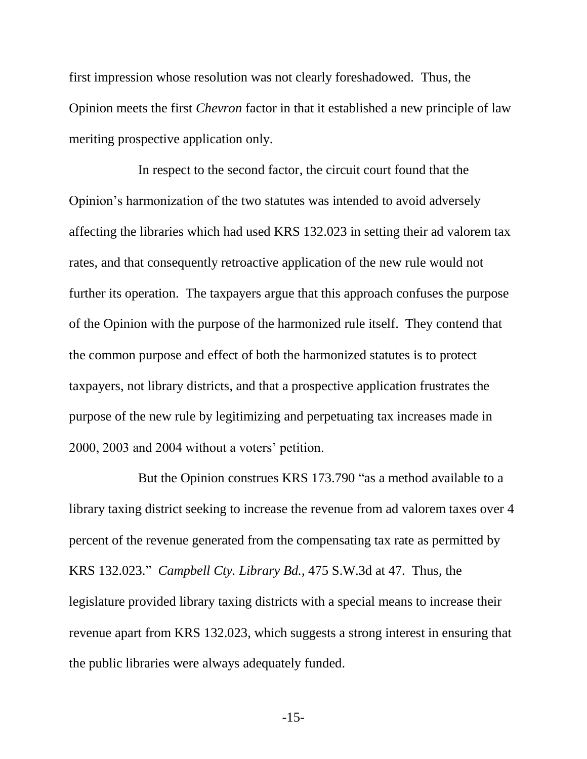first impression whose resolution was not clearly foreshadowed. Thus, the Opinion meets the first *Chevron* factor in that it established a new principle of law meriting prospective application only.

In respect to the second factor, the circuit court found that the Opinion's harmonization of the two statutes was intended to avoid adversely affecting the libraries which had used KRS 132.023 in setting their ad valorem tax rates, and that consequently retroactive application of the new rule would not further its operation. The taxpayers argue that this approach confuses the purpose of the Opinion with the purpose of the harmonized rule itself. They contend that the common purpose and effect of both the harmonized statutes is to protect taxpayers, not library districts, and that a prospective application frustrates the purpose of the new rule by legitimizing and perpetuating tax increases made in 2000, 2003 and 2004 without a voters' petition.

But the Opinion construes KRS 173.790 "as a method available to a library taxing district seeking to increase the revenue from ad valorem taxes over 4 percent of the revenue generated from the compensating tax rate as permitted by KRS 132.023." *Campbell Cty. Library Bd.*, 475 S.W.3d at 47. Thus, the legislature provided library taxing districts with a special means to increase their revenue apart from KRS 132.023, which suggests a strong interest in ensuring that the public libraries were always adequately funded.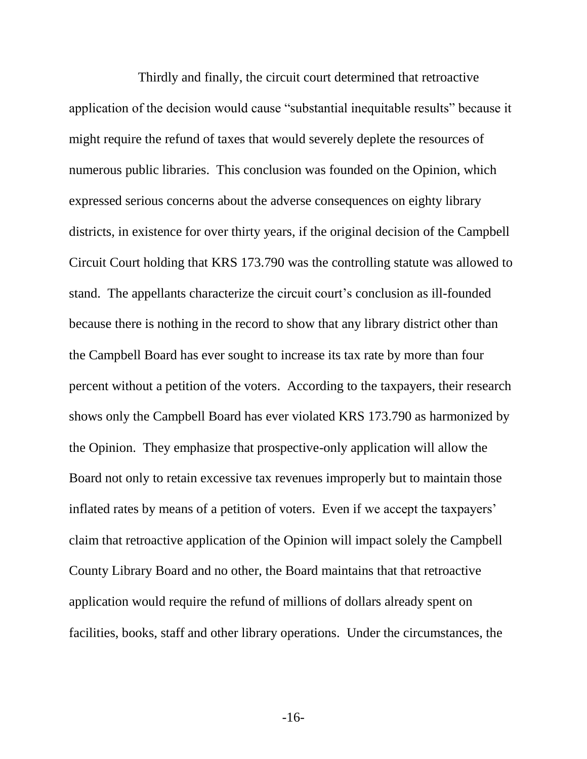Thirdly and finally, the circuit court determined that retroactive application of the decision would cause "substantial inequitable results" because it might require the refund of taxes that would severely deplete the resources of numerous public libraries. This conclusion was founded on the Opinion, which expressed serious concerns about the adverse consequences on eighty library districts, in existence for over thirty years, if the original decision of the Campbell Circuit Court holding that KRS 173.790 was the controlling statute was allowed to stand. The appellants characterize the circuit court's conclusion as ill-founded because there is nothing in the record to show that any library district other than the Campbell Board has ever sought to increase its tax rate by more than four percent without a petition of the voters. According to the taxpayers, their research shows only the Campbell Board has ever violated KRS 173.790 as harmonized by the Opinion. They emphasize that prospective-only application will allow the Board not only to retain excessive tax revenues improperly but to maintain those inflated rates by means of a petition of voters. Even if we accept the taxpayers' claim that retroactive application of the Opinion will impact solely the Campbell County Library Board and no other, the Board maintains that that retroactive application would require the refund of millions of dollars already spent on facilities, books, staff and other library operations. Under the circumstances, the